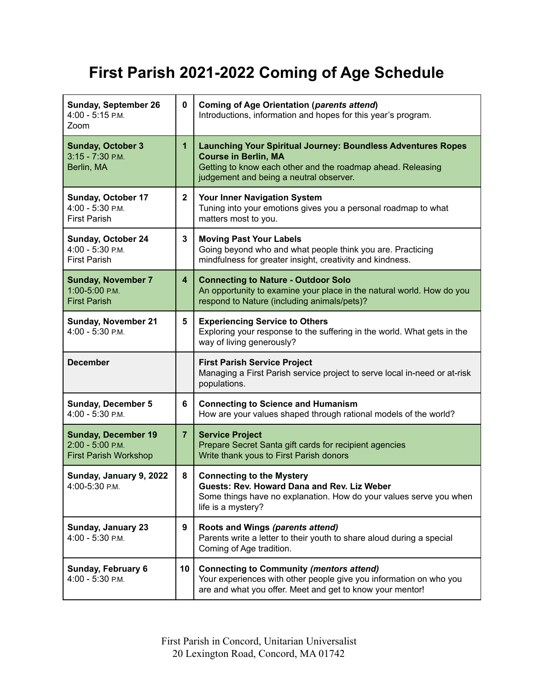## **First Parish 2021-2022 Coming of Age Schedule**

| <b>Sunday, September 26</b><br>4:00 - 5:15 P.M.<br>Zoom                        | 0                       | <b>Coming of Age Orientation (parents attend)</b><br>Introductions, information and hopes for this year's program.                                                                                           |
|--------------------------------------------------------------------------------|-------------------------|--------------------------------------------------------------------------------------------------------------------------------------------------------------------------------------------------------------|
| <b>Sunday, October 3</b><br>$3:15 - 7:30$ P.M.<br>Berlin, MA                   | $\mathbf{1}$            | <b>Launching Your Spiritual Journey: Boundless Adventures Ropes</b><br><b>Course in Berlin, MA</b><br>Getting to know each other and the roadmap ahead. Releasing<br>judgement and being a neutral observer. |
| Sunday, October 17<br>4:00 - 5:30 P.M.<br><b>First Parish</b>                  | $\mathbf{2}$            | Your Inner Navigation System<br>Tuning into your emotions gives you a personal roadmap to what<br>matters most to you.                                                                                       |
| <b>Sunday, October 24</b><br>4:00 - 5:30 P.M.<br><b>First Parish</b>           | 3                       | <b>Moving Past Your Labels</b><br>Going beyond who and what people think you are. Practicing<br>mindfulness for greater insight, creativity and kindness.                                                    |
| <b>Sunday, November 7</b><br>1:00-5:00 P.M.<br><b>First Parish</b>             | $\overline{\mathbf{4}}$ | <b>Connecting to Nature - Outdoor Solo</b><br>An opportunity to examine your place in the natural world. How do you<br>respond to Nature (including animals/pets)?                                           |
| <b>Sunday, November 21</b><br>4:00 - 5:30 P.M.                                 | 5                       | <b>Experiencing Service to Others</b><br>Exploring your response to the suffering in the world. What gets in the<br>way of living generously?                                                                |
| <b>December</b>                                                                |                         | <b>First Parish Service Project</b><br>Managing a First Parish service project to serve local in-need or at-risk<br>populations.                                                                             |
| <b>Sunday, December 5</b><br>4:00 - 5:30 P.M.                                  | 6                       | <b>Connecting to Science and Humanism</b><br>How are your values shaped through rational models of the world?                                                                                                |
| <b>Sunday, December 19</b><br>2:00 - 5:00 P.M.<br><b>First Parish Workshop</b> | $\overline{7}$          | <b>Service Project</b><br>Prepare Secret Santa gift cards for recipient agencies<br>Write thank yous to First Parish donors                                                                                  |
| Sunday, January 9, 2022<br>4:00-5:30 P.M.                                      | 8                       | <b>Connecting to the Mystery</b><br>Guests: Rev. Howard Dana and Rev. Liz Weber<br>Some things have no explanation. How do your values serve you when<br>life is a mystery?                                  |
| Sunday, January 23<br>4:00 - 5:30 P.M.                                         | 9                       | Roots and Wings (parents attend)<br>Parents write a letter to their youth to share aloud during a special<br>Coming of Age tradition.                                                                        |
| Sunday, February 6<br>4:00 - 5:30 P.M.                                         | 10                      | <b>Connecting to Community (mentors attend)</b><br>Your experiences with other people give you information on who you<br>are and what you offer. Meet and get to know your mentor!                           |